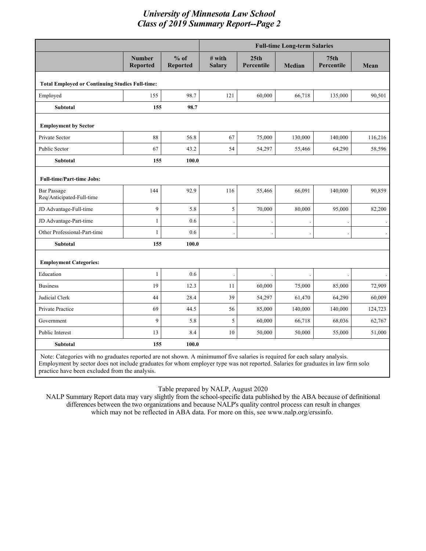|                                                        |                                                                                                                            |                           | <b>Full-time Long-term Salaries</b> |                                |               |                                |         |  |
|--------------------------------------------------------|----------------------------------------------------------------------------------------------------------------------------|---------------------------|-------------------------------------|--------------------------------|---------------|--------------------------------|---------|--|
|                                                        | <b>Number</b><br><b>Reported</b>                                                                                           | $%$ of<br><b>Reported</b> | # with<br><b>Salary</b>             | 25 <sub>th</sub><br>Percentile | <b>Median</b> | 75 <sub>th</sub><br>Percentile | Mean    |  |
| <b>Total Employed or Continuing Studies Full-time:</b> |                                                                                                                            |                           |                                     |                                |               |                                |         |  |
| Employed                                               | 155                                                                                                                        | 98.7                      | 121                                 | 60,000                         | 66,718        | 135,000                        | 90,501  |  |
| <b>Subtotal</b>                                        | 155                                                                                                                        | 98.7                      |                                     |                                |               |                                |         |  |
| <b>Employment by Sector</b>                            |                                                                                                                            |                           |                                     |                                |               |                                |         |  |
| Private Sector                                         | 88                                                                                                                         | 56.8                      | 67                                  | 75,000                         | 130,000       | 140,000                        | 116,216 |  |
| Public Sector                                          | 67                                                                                                                         | 43.2                      | 54                                  | 54,297                         | 55,466        | 64,290                         | 58,596  |  |
| Subtotal                                               | 155                                                                                                                        | 100.0                     |                                     |                                |               |                                |         |  |
| <b>Full-time/Part-time Jobs:</b>                       |                                                                                                                            |                           |                                     |                                |               |                                |         |  |
| <b>Bar Passage</b><br>Req/Anticipated-Full-time        | 144                                                                                                                        | 92.9                      | 116                                 | 55,466                         | 66,091        | 140,000                        | 90,859  |  |
| JD Advantage-Full-time                                 | $\mathbf{Q}$                                                                                                               | 5.8                       | 5                                   | 70,000                         | 80,000        | 95,000                         | 82,200  |  |
| JD Advantage-Part-time                                 | $\mathbf{1}$                                                                                                               | 0.6                       |                                     |                                |               |                                |         |  |
| Other Professional-Part-time                           | $\mathbf{1}$                                                                                                               | 0.6                       |                                     |                                |               |                                |         |  |
| Subtotal                                               | 155                                                                                                                        | 100.0                     |                                     |                                |               |                                |         |  |
| <b>Employment Categories:</b>                          |                                                                                                                            |                           |                                     |                                |               |                                |         |  |
| Education                                              | $\mathbf{1}$                                                                                                               | 0.6                       |                                     |                                |               |                                |         |  |
| <b>Business</b>                                        | 19                                                                                                                         | 12.3                      | 11                                  | 60,000                         | 75,000        | 85,000                         | 72,909  |  |
| Judicial Clerk                                         | 44                                                                                                                         | 28.4                      | 39                                  | 54,297                         | 61,470        | 64,290                         | 60,009  |  |
| Private Practice                                       | 69                                                                                                                         | 44.5                      | 56                                  | 85,000                         | 140,000       | 140,000                        | 124,723 |  |
| Government                                             | $\mathbf{Q}$                                                                                                               | 5.8                       | 5                                   | 60,000                         | 66,718        | 68,036                         | 62,767  |  |
| Public Interest                                        | 13                                                                                                                         | 8.4                       | 10                                  | 50,000                         | 50,000        | 55,000                         | 51,000  |  |
| Subtotal                                               | 155                                                                                                                        | 100.0                     |                                     |                                |               |                                |         |  |
|                                                        | Note: Categories with no graduates reported are not shown. A minimum f five salaries is required for each salary analysis. |                           |                                     |                                |               |                                |         |  |

Employment by sector does not include graduates for whom employer type was not reported. Salaries for graduates in law firm solo practice have been excluded from the analysis.

Table prepared by NALP, August 2020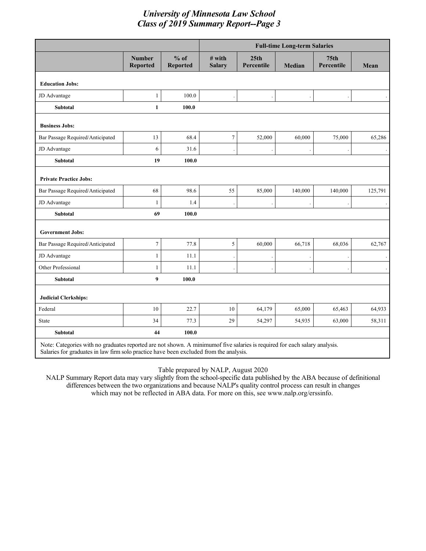|                                                                                                                             |                                  |                           | <b>Full-time Long-term Salaries</b> |                    |         |                                |         |  |
|-----------------------------------------------------------------------------------------------------------------------------|----------------------------------|---------------------------|-------------------------------------|--------------------|---------|--------------------------------|---------|--|
|                                                                                                                             | <b>Number</b><br><b>Reported</b> | $%$ of<br><b>Reported</b> | $#$ with<br><b>Salary</b>           | 25th<br>Percentile | Median  | 75 <sub>th</sub><br>Percentile | Mean    |  |
| <b>Education Jobs:</b>                                                                                                      |                                  |                           |                                     |                    |         |                                |         |  |
| JD Advantage                                                                                                                | $\mathbf{1}$                     | 100.0                     |                                     |                    |         |                                |         |  |
| <b>Subtotal</b>                                                                                                             | $\mathbf{1}$                     | 100.0                     |                                     |                    |         |                                |         |  |
| <b>Business Jobs:</b>                                                                                                       |                                  |                           |                                     |                    |         |                                |         |  |
| Bar Passage Required/Anticipated                                                                                            | 13                               | 68.4                      | $\tau$                              | 52,000             | 60,000  | 75,000                         | 65,286  |  |
| JD Advantage                                                                                                                | 6                                | 31.6                      |                                     |                    |         |                                |         |  |
| <b>Subtotal</b>                                                                                                             | 19                               | 100.0                     |                                     |                    |         |                                |         |  |
| <b>Private Practice Jobs:</b>                                                                                               |                                  |                           |                                     |                    |         |                                |         |  |
| Bar Passage Required/Anticipated                                                                                            | 68                               | 98.6                      | 55                                  | 85,000             | 140,000 | 140,000                        | 125,791 |  |
| JD Advantage                                                                                                                | $\mathbf{1}$                     | 1.4                       |                                     |                    |         |                                |         |  |
| <b>Subtotal</b>                                                                                                             | 69                               | 100.0                     |                                     |                    |         |                                |         |  |
| <b>Government Jobs:</b>                                                                                                     |                                  |                           |                                     |                    |         |                                |         |  |
| Bar Passage Required/Anticipated                                                                                            | $\tau$                           | 77.8                      | 5                                   | 60,000             | 66,718  | 68,036                         | 62,767  |  |
| JD Advantage                                                                                                                | $\mathbf{1}$                     | 11.1                      |                                     |                    |         |                                |         |  |
| Other Professional                                                                                                          | $\mathbf{1}$                     | 11.1                      |                                     |                    |         |                                |         |  |
| Subtotal                                                                                                                    | 9                                | 100.0                     |                                     |                    |         |                                |         |  |
| <b>Judicial Clerkships:</b>                                                                                                 |                                  |                           |                                     |                    |         |                                |         |  |
| Federal                                                                                                                     | 10                               | 22.7                      | 10                                  | 64,179             | 65,000  | 65,463                         | 64,933  |  |
| <b>State</b>                                                                                                                | 34                               | 77.3                      | 29                                  | 54,297             | 54,935  | 63,000                         | 58,311  |  |
| Subtotal                                                                                                                    | 44                               | 100.0                     |                                     |                    |         |                                |         |  |
| Note: Categories with no graduates reported are not shown. A minimum of five salaries is required for each salary analysis. |                                  |                           |                                     |                    |         |                                |         |  |

Note: Categories with no graduates reported are not shown. A minimumof five salaries is required for each salary analysis. Salaries for graduates in law firm solo practice have been excluded from the analysis.

Table prepared by NALP, August 2020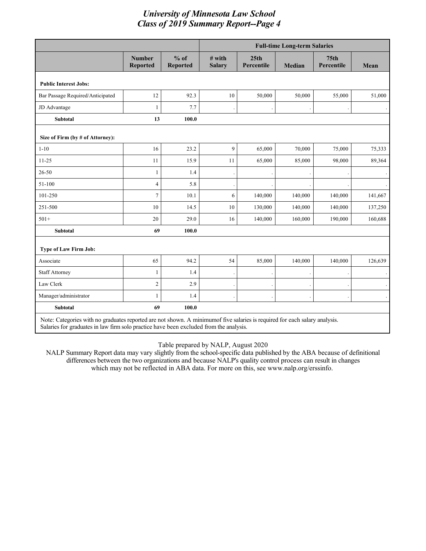|                                                                                                                            |                                  |                           | <b>Full-time Long-term Salaries</b> |                                |         |                                |         |  |  |
|----------------------------------------------------------------------------------------------------------------------------|----------------------------------|---------------------------|-------------------------------------|--------------------------------|---------|--------------------------------|---------|--|--|
|                                                                                                                            | <b>Number</b><br><b>Reported</b> | $%$ of<br><b>Reported</b> | # with<br><b>Salary</b>             | 25 <sub>th</sub><br>Percentile | Median  | 75 <sub>th</sub><br>Percentile | Mean    |  |  |
| <b>Public Interest Jobs:</b>                                                                                               |                                  |                           |                                     |                                |         |                                |         |  |  |
| Bar Passage Required/Anticipated                                                                                           | 12                               | 92.3                      | 10                                  | 50,000                         | 50,000  | 55,000                         | 51,000  |  |  |
| JD Advantage                                                                                                               | 1                                | 7.7                       |                                     |                                |         |                                |         |  |  |
| <b>Subtotal</b>                                                                                                            | 13                               | 100.0                     |                                     |                                |         |                                |         |  |  |
| Size of Firm (by # of Attorney):                                                                                           |                                  |                           |                                     |                                |         |                                |         |  |  |
| $1 - 10$                                                                                                                   | 16                               | 23.2                      | 9                                   | 65,000                         | 70,000  | 75,000                         | 75,333  |  |  |
| $11 - 25$                                                                                                                  | 11                               | 15.9                      | 11                                  | 65,000                         | 85,000  | 98,000                         | 89,364  |  |  |
| $26 - 50$                                                                                                                  | 1                                | 1.4                       |                                     |                                |         |                                |         |  |  |
| 51-100                                                                                                                     | $\overline{4}$                   | 5.8                       |                                     |                                |         |                                |         |  |  |
| 101-250                                                                                                                    | $\overline{7}$                   | 10.1                      | 6                                   | 140,000                        | 140,000 | 140,000                        | 141,667 |  |  |
| 251-500                                                                                                                    | 10                               | 14.5                      | 10                                  | 130,000                        | 140,000 | 140,000                        | 137,250 |  |  |
| $501+$                                                                                                                     | 20                               | 29.0                      | 16                                  | 140,000                        | 160,000 | 190,000                        | 160,688 |  |  |
| <b>Subtotal</b>                                                                                                            | 69                               | 100.0                     |                                     |                                |         |                                |         |  |  |
| Type of Law Firm Job:                                                                                                      |                                  |                           |                                     |                                |         |                                |         |  |  |
| Associate                                                                                                                  | 65                               | 94.2                      | 54                                  | 85,000                         | 140,000 | 140,000                        | 126,639 |  |  |
| <b>Staff Attorney</b>                                                                                                      | 1                                | 1.4                       |                                     |                                |         |                                |         |  |  |
| Law Clerk                                                                                                                  | $\overline{2}$                   | 2.9                       |                                     |                                |         |                                |         |  |  |
| Manager/administrator                                                                                                      | 1                                | 1.4                       |                                     |                                |         |                                |         |  |  |
| <b>Subtotal</b>                                                                                                            | 69                               | 100.0                     |                                     |                                |         |                                |         |  |  |
| Note: Categories with no graduates reported are not shown. A minimumof five salaries is required for each salary analysis. |                                  |                           |                                     |                                |         |                                |         |  |  |

Salaries for graduates in law firm solo practice have been excluded from the analysis.

Table prepared by NALP, August 2020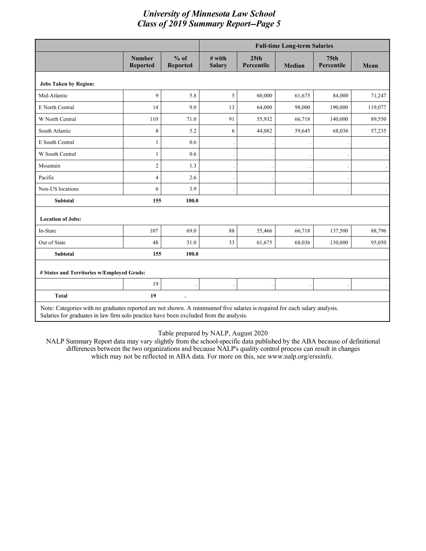|                                            |                                                                                                                                                                                                                      |                           | <b>Full-time Long-term Salaries</b> |                                |               |                                |         |  |  |
|--------------------------------------------|----------------------------------------------------------------------------------------------------------------------------------------------------------------------------------------------------------------------|---------------------------|-------------------------------------|--------------------------------|---------------|--------------------------------|---------|--|--|
|                                            | <b>Number</b><br><b>Reported</b>                                                                                                                                                                                     | $%$ of<br><b>Reported</b> | $#$ with<br><b>Salary</b>           | 25 <sub>th</sub><br>Percentile | <b>Median</b> | 75 <sub>th</sub><br>Percentile | Mean    |  |  |
| <b>Jobs Taken by Region:</b>               |                                                                                                                                                                                                                      |                           |                                     |                                |               |                                |         |  |  |
| Mid-Atlantic                               | 9                                                                                                                                                                                                                    | 5.8                       | 5                                   | 60,000                         | 61,675        | 84,000                         | 71,247  |  |  |
| E North Central                            | 14                                                                                                                                                                                                                   | 9.0                       | 13                                  | 64,000                         | 98,000        | 190,000                        | 119,077 |  |  |
| W North Central                            | 110                                                                                                                                                                                                                  | 71.0                      | 91                                  | 55,932                         | 66,718        | 140,000                        | 89,550  |  |  |
| South Atlantic                             | 8                                                                                                                                                                                                                    | 5.2                       | 6                                   | 44,082                         | 59,645        | 68,036                         | 57,235  |  |  |
| E South Central                            | $\mathbf{1}$                                                                                                                                                                                                         | 0.6                       |                                     |                                |               |                                |         |  |  |
| W South Central                            | 1                                                                                                                                                                                                                    | 0.6                       |                                     |                                |               |                                |         |  |  |
| Mountain                                   | $\overline{c}$                                                                                                                                                                                                       | 1.3                       |                                     |                                |               |                                |         |  |  |
| Pacific                                    | 4                                                                                                                                                                                                                    | 2.6                       |                                     |                                |               |                                |         |  |  |
| Non-US locations                           | 6                                                                                                                                                                                                                    | 3.9                       |                                     |                                |               |                                |         |  |  |
| <b>Subtotal</b>                            | 155                                                                                                                                                                                                                  | 100.0                     |                                     |                                |               |                                |         |  |  |
| <b>Location of Jobs:</b>                   |                                                                                                                                                                                                                      |                           |                                     |                                |               |                                |         |  |  |
| In-State                                   | 107                                                                                                                                                                                                                  | 69.0                      | 88                                  | 55,466                         | 66,718        | 137,500                        | 88,796  |  |  |
| Out of State                               | 48                                                                                                                                                                                                                   | 31.0                      | 33                                  | 61,675                         | 68,036        | 130,000                        | 95,050  |  |  |
| <b>Subtotal</b>                            | 155                                                                                                                                                                                                                  | 100.0                     |                                     |                                |               |                                |         |  |  |
| # States and Territories w/Employed Grads: |                                                                                                                                                                                                                      |                           |                                     |                                |               |                                |         |  |  |
|                                            | 19                                                                                                                                                                                                                   |                           |                                     |                                |               |                                |         |  |  |
| <b>Total</b>                               | 19                                                                                                                                                                                                                   |                           |                                     |                                |               |                                |         |  |  |
|                                            | Note: Categories with no graduates reported are not shown. A minimumof five salaries is required for each salary analysis.<br>Salaries for graduates in law firm solo practice have been excluded from the analysis. |                           |                                     |                                |               |                                |         |  |  |

Table prepared by NALP, August 2020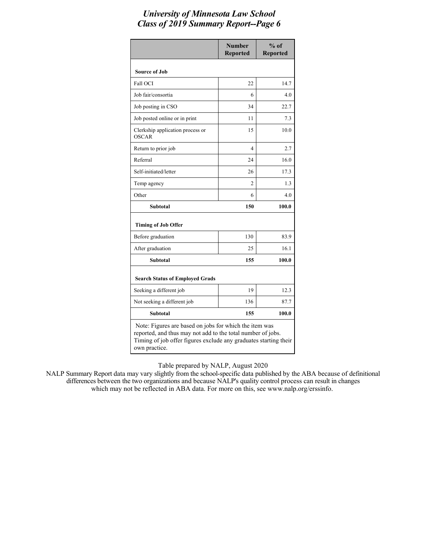|                                                                                                                                                                                           | <b>Number</b><br><b>Reported</b> | $%$ of<br><b>Reported</b> |  |  |  |  |
|-------------------------------------------------------------------------------------------------------------------------------------------------------------------------------------------|----------------------------------|---------------------------|--|--|--|--|
| <b>Source of Job</b>                                                                                                                                                                      |                                  |                           |  |  |  |  |
| <b>Fall OCI</b>                                                                                                                                                                           | 22                               | 14.7                      |  |  |  |  |
| Job fair/consortia                                                                                                                                                                        | 6                                | 4.0                       |  |  |  |  |
| Job posting in CSO                                                                                                                                                                        | 34                               | 22.7                      |  |  |  |  |
| Job posted online or in print                                                                                                                                                             | 11                               | 7.3                       |  |  |  |  |
| Clerkship application process or<br><b>OSCAR</b>                                                                                                                                          | 15                               | 10.0                      |  |  |  |  |
| Return to prior job                                                                                                                                                                       | 4                                | 2.7                       |  |  |  |  |
| Referral                                                                                                                                                                                  | 24                               | 16.0                      |  |  |  |  |
| Self-initiated/letter                                                                                                                                                                     | 26                               | 17.3                      |  |  |  |  |
| Temp agency                                                                                                                                                                               | 2                                | 1.3                       |  |  |  |  |
| Other                                                                                                                                                                                     | 6                                | 4.0                       |  |  |  |  |
| Subtotal                                                                                                                                                                                  | 150                              | 100.0                     |  |  |  |  |
| <b>Timing of Job Offer</b>                                                                                                                                                                |                                  |                           |  |  |  |  |
| Before graduation                                                                                                                                                                         | 130                              | 83.9                      |  |  |  |  |
| After graduation                                                                                                                                                                          | 25                               | 16.1                      |  |  |  |  |
| Subtotal                                                                                                                                                                                  | 155                              | 100.0                     |  |  |  |  |
| <b>Search Status of Employed Grads</b>                                                                                                                                                    |                                  |                           |  |  |  |  |
| Seeking a different job                                                                                                                                                                   | 19                               | 12.3                      |  |  |  |  |
| Not seeking a different job                                                                                                                                                               | 136                              | 87.7                      |  |  |  |  |
| <b>Subtotal</b>                                                                                                                                                                           | 155                              | 100.0                     |  |  |  |  |
| Note: Figures are based on jobs for which the item was<br>reported, and thus may not add to the total number of jobs.<br>Timing of job offer figures exclude any graduates starting their |                                  |                           |  |  |  |  |

Table prepared by NALP, August 2020

own practice.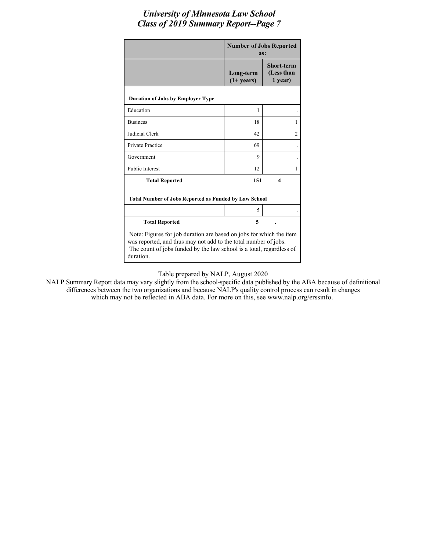|                                                                                                                                                                                                                             | <b>Number of Jobs Reported</b><br>as: |                                            |  |  |  |
|-----------------------------------------------------------------------------------------------------------------------------------------------------------------------------------------------------------------------------|---------------------------------------|--------------------------------------------|--|--|--|
|                                                                                                                                                                                                                             | Long-term<br>$(1+ years)$             | <b>Short-term</b><br>(Less than<br>1 year) |  |  |  |
| <b>Duration of Jobs by Employer Type</b>                                                                                                                                                                                    |                                       |                                            |  |  |  |
| Education                                                                                                                                                                                                                   | 1                                     |                                            |  |  |  |
| <b>Business</b>                                                                                                                                                                                                             | 18                                    | 1                                          |  |  |  |
| Judicial Clerk                                                                                                                                                                                                              | 42                                    | $\overline{c}$                             |  |  |  |
| <b>Private Practice</b>                                                                                                                                                                                                     | 69                                    |                                            |  |  |  |
| Government                                                                                                                                                                                                                  | 9                                     |                                            |  |  |  |
| <b>Public Interest</b>                                                                                                                                                                                                      | 12                                    | 1                                          |  |  |  |
| <b>Total Reported</b>                                                                                                                                                                                                       | 151                                   | 4                                          |  |  |  |
| <b>Total Number of Jobs Reported as Funded by Law School</b>                                                                                                                                                                |                                       |                                            |  |  |  |
|                                                                                                                                                                                                                             | 5                                     |                                            |  |  |  |
| <b>Total Reported</b>                                                                                                                                                                                                       | 5                                     |                                            |  |  |  |
| Note: Figures for job duration are based on jobs for which the item<br>was reported, and thus may not add to the total number of jobs.<br>The count of jobs funded by the law school is a total, regardless of<br>duration. |                                       |                                            |  |  |  |

Table prepared by NALP, August 2020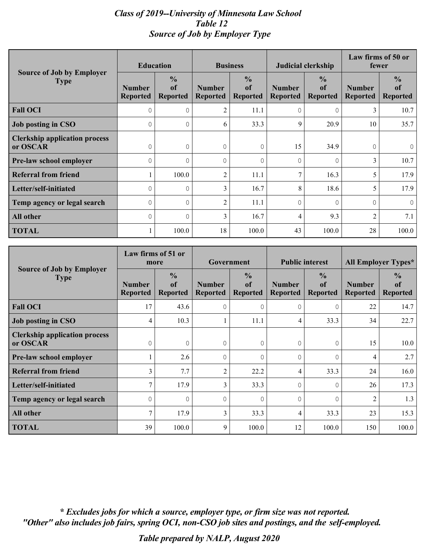### *Class of 2019--University of Minnesota Law School Table 12 Source of Job by Employer Type*

|                                                  | <b>Education</b>                 |                                        | <b>Business</b>                  |                                        | <b>Judicial clerkship</b>        |                                                   | Law firms of 50 or<br>fewer      |                                        |
|--------------------------------------------------|----------------------------------|----------------------------------------|----------------------------------|----------------------------------------|----------------------------------|---------------------------------------------------|----------------------------------|----------------------------------------|
| <b>Source of Job by Employer</b><br><b>Type</b>  | <b>Number</b><br><b>Reported</b> | $\frac{0}{0}$<br>of<br><b>Reported</b> | <b>Number</b><br><b>Reported</b> | $\frac{0}{0}$<br>of<br><b>Reported</b> | <b>Number</b><br><b>Reported</b> | $\frac{0}{0}$<br><sub>of</sub><br><b>Reported</b> | <b>Number</b><br><b>Reported</b> | $\frac{0}{0}$<br>of<br><b>Reported</b> |
| <b>Fall OCI</b>                                  | 0                                | $\Omega$                               | 2                                | 11.1                                   | $\Omega$                         | $\Omega$                                          | 3                                | 10.7                                   |
| <b>Job posting in CSO</b>                        |                                  | $\mathcal{O}$                          | 6                                | 33.3                                   | 9                                | 20.9                                              | 10                               | 35.7                                   |
| <b>Clerkship application process</b><br>or OSCAR |                                  | $\Omega$                               | $\Omega$                         | 0                                      | 15                               | 34.9                                              | $\Omega$                         | $\circ$                                |
| Pre-law school employer                          |                                  | $\Omega$                               | $\Omega$                         | $\Omega$                               | $\Omega$                         | $\Omega$                                          | 3                                | 10.7                                   |
| <b>Referral from friend</b>                      |                                  | 100.0                                  | 2                                | 11.1                                   | 7                                | 16.3                                              | 5                                | 17.9                                   |
| Letter/self-initiated                            |                                  | $\Omega$                               | 3                                | 16.7                                   | 8                                | 18.6                                              | 5                                | 17.9                                   |
| Temp agency or legal search                      |                                  | $\Omega$                               | $\overline{2}$                   | 11.1                                   | $\cap$                           | $\Omega$                                          | $\cap$                           | $\Omega$                               |
| <b>All other</b>                                 | $\cap$                           | $\Omega$                               | 3                                | 16.7                                   | 4                                | 9.3                                               | 2                                | 7.1                                    |
| <b>TOTAL</b>                                     |                                  | 100.0                                  | 18                               | 100.0                                  | 43                               | 100.0                                             | 28                               | 100.0                                  |

|                                                  | Law firms of 51 or<br>more       |                                        | Government                       |                                        | <b>Public interest</b>           |                                        | <b>All Employer Types*</b>       |                                        |
|--------------------------------------------------|----------------------------------|----------------------------------------|----------------------------------|----------------------------------------|----------------------------------|----------------------------------------|----------------------------------|----------------------------------------|
| <b>Source of Job by Employer</b><br><b>Type</b>  | <b>Number</b><br><b>Reported</b> | $\frac{0}{0}$<br>of<br><b>Reported</b> | <b>Number</b><br><b>Reported</b> | $\frac{0}{0}$<br>of<br><b>Reported</b> | <b>Number</b><br><b>Reported</b> | $\frac{0}{0}$<br>of<br><b>Reported</b> | <b>Number</b><br><b>Reported</b> | $\frac{0}{0}$<br>of<br><b>Reported</b> |
| <b>Fall OCI</b>                                  | 17                               | 43.6                                   | $\Omega$                         | $\Omega$                               | $\Omega$                         | $\Omega$                               | 22                               | 14.7                                   |
| <b>Job posting in CSO</b>                        | 4                                | 10.3                                   |                                  | 11.1                                   | 4                                | 33.3                                   | 34                               | 22.7                                   |
| <b>Clerkship application process</b><br>or OSCAR | $\Omega$                         | $\Omega$                               | $\Omega$                         | 0                                      | $\Omega$                         | $\overline{0}$                         | 15                               | 10.0                                   |
| Pre-law school employer                          |                                  | 2.6                                    | $\Omega$                         | $\Omega$                               | $\Omega$                         | $\mathbf 0$                            | 4                                | 2.7                                    |
| <b>Referral from friend</b>                      | 3                                | 7.7                                    | $\overline{2}$                   | 22.2                                   | 4                                | 33.3                                   | 24                               | 16.0                                   |
| Letter/self-initiated                            | 7                                | 17.9                                   | 3                                | 33.3                                   | $\Omega$                         | $\circ$                                | 26                               | 17.3                                   |
| Temp agency or legal search                      | O                                | $\Omega$                               | $\Omega$                         | $\Omega$                               | $\Omega$                         | $\Omega$                               | $\overline{2}$                   | 1.3                                    |
| <b>All other</b>                                 | $\tau$                           | 17.9                                   | 3                                | 33.3                                   | 4                                | 33.3                                   | 23                               | 15.3                                   |
| <b>TOTAL</b>                                     | 39                               | 100.0                                  | 9                                | 100.0                                  | 12                               | 100.0                                  | 150                              | 100.0                                  |

*\* Excludes jobs for which a source, employer type, or firm size was not reported. "Other" also includes job fairs, spring OCI, non-CSO job sites and postings, and the self-employed.*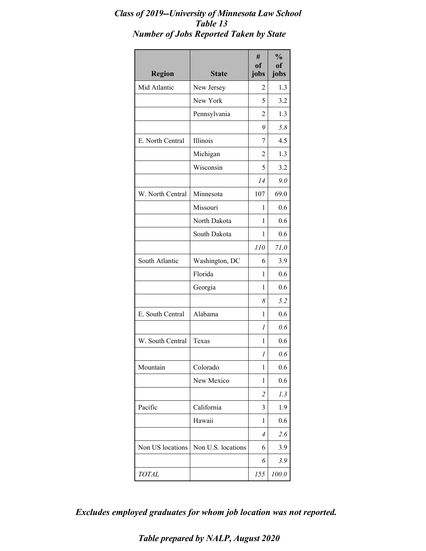## *Class of 2019--University of Minnesota Law School Table 13 Number of Jobs Reported Taken by State*

| <b>Region</b>    | <b>State</b>       | #<br><sub>of</sub><br>jobs | $\frac{0}{0}$<br><sub>of</sub><br>jobs |
|------------------|--------------------|----------------------------|----------------------------------------|
| Mid Atlantic     | New Jersey         | 2                          | 1.3                                    |
|                  | New York           | 5                          | 3.2                                    |
|                  | Pennsylvania       | $\overline{2}$             | 1.3                                    |
|                  |                    | 9                          | 5.8                                    |
| E. North Central | Illinois           | 7                          | 4.5                                    |
|                  | Michigan           | 2                          | 1.3                                    |
|                  | Wisconsin          | 5                          | 3.2                                    |
|                  |                    | 14                         | 9.0                                    |
| W. North Central | Minnesota          | 107                        | 69.0                                   |
|                  | Missouri           | 1                          | 0.6                                    |
|                  | North Dakota       | 1                          | 0.6                                    |
|                  | South Dakota       | 1                          | 0.6                                    |
|                  |                    | 110                        | 71.0                                   |
| South Atlantic   | Washington, DC     | 6                          | 3.9                                    |
|                  | Florida            | 1                          | 0.6                                    |
|                  | Georgia            | 1                          | 0.6                                    |
|                  |                    | 8                          | 5.2                                    |
| E. South Central | Alabama            | 1                          | 0.6                                    |
|                  |                    | 1                          | 0.6                                    |
| W. South Central | Texas              | 1                          | 0.6                                    |
|                  |                    | 1                          | 0.6                                    |
| Mountain         | Colorado           | 1                          | 0.6                                    |
|                  | New Mexico         | 1                          | 0.6                                    |
|                  |                    | $\overline{2}$             | 1.3                                    |
| Pacific          | California         | 3                          | 1.9                                    |
|                  | Hawaii             | 1                          | 0.6                                    |
|                  |                    | 4                          | 2.6                                    |
| Non US locations | Non U.S. locations | 6                          | 3.9                                    |
|                  |                    | 6                          | 3.9                                    |
| <b>TOTAL</b>     |                    | 155                        | 100.0                                  |

*Excludes employed graduates for whom job location was not reported.*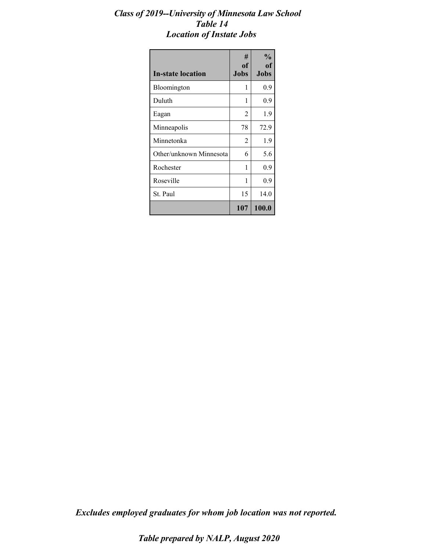### *Class of 2019--University of Minnesota Law School Table 14 Location of Instate Jobs*

| <b>In-state location</b> | #<br>of<br><b>Jobs</b> | $\frac{6}{10}$<br>of<br><b>Jobs</b> |
|--------------------------|------------------------|-------------------------------------|
| Bloomington              | 1                      | 0.9                                 |
| Duluth                   | 1                      | 0.9                                 |
| Eagan                    | 2                      | 1.9                                 |
| Minneapolis              | 78                     | 72.9                                |
| Minnetonka               | 2                      | 1.9                                 |
| Other/unknown Minnesota  | 6                      | 5.6                                 |
| Rochester                | 1                      | 0.9                                 |
| Roseville                | 1                      | 0.9                                 |
| St. Paul                 | 15                     | 14.0                                |
|                          | 107                    | 100.0                               |

*Excludes employed graduates for whom job location was not reported.*